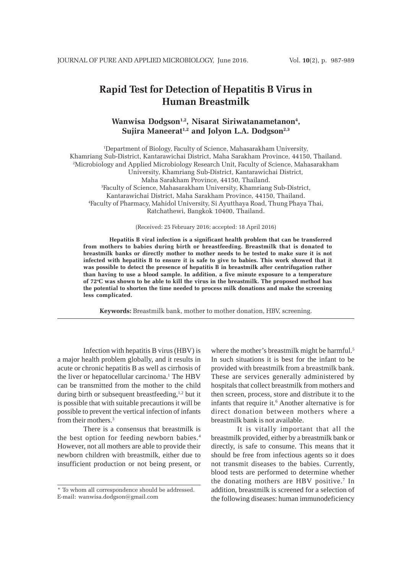# **Rapid Test for Detection of Hepatitis B Virus in Human Breastmilk**

## Wanwisa Dodgson<sup>1,2</sup>, Nisarat Siriwatanametanon<sup>4</sup>, Sujira Maneerat<sup>1,2</sup> and Jolyon L.A. Dodgson<sup>2,3</sup>

1 Department of Biology, Faculty of Science, Mahasarakham University, Khamriang Sub-District, Kantarawichai District, Maha Sarakham Province, 44150, Thailand. 2 Microbiology and Applied Microbiology Research Unit, Faculty of Science, Mahasarakham University, Khamriang Sub-District, Kantarawichai District, Maha Sarakham Province, 44150, Thailand. 3 Faculty of Science, Mahasarakham University, Khamriang Sub-District, Kantarawichai District, Maha Sarakham Province, 44150, Thailand. 4 Faculty of Pharmacy, Mahidol University, Si Ayutthaya Road, Thung Phaya Thai, Ratchathewi, Bangkok 10400, Thailand.

(Received: 25 February 2016; accepted: 18 April 2016)

**Hepatitis B viral infection is a significant health problem that can be transferred from mothers to babies during birth or breastfeeding. Breastmilk that is donated to breastmilk banks or directly mother to mother needs to be tested to make sure it is not infected with hepatitis B to ensure it is safe to give to babies. This work showed that it was possible to detect the presence of hepatitis B in breastmilk after centrifugation rather than having to use a blood sample. In addition, a five minute exposure to a temperature of 72oC was shown to be able to kill the virus in the breastmilk. The proposed method has the potential to shorten the time needed to process milk donations and make the screening less complicated.**

**Keywords:** Breastmilk bank, mother to mother donation, HBV, screening.

Infection with hepatitis B virus (HBV) is a major health problem globally, and it results in acute or chronic hepatitis B as well as cirrhosis of the liver or hepatocellular carcinoma.<sup>1</sup> The HBV can be transmitted from the mother to the child during birth or subsequent breastfeeding,<sup>1,2</sup> but it is possible that with suitable precautions it will be possible to prevent the vertical infection of infants from their mothers.3

There is a consensus that breastmilk is the best option for feeding newborn babies.4 However, not all mothers are able to provide their newborn children with breastmilk, either due to insufficient production or not being present, or where the mother's breastmilk might be harmful.<sup>5</sup> In such situations it is best for the infant to be provided with breastmilk from a breastmilk bank. These are services generally administered by hospitals that collect breastmilk from mothers and then screen, process, store and distribute it to the infants that require it.<sup>6</sup> Another alternative is for direct donation between mothers where a breastmilk bank is not available.

It is vitally important that all the breastmilk provided, either by a breastmilk bank or directly, is safe to consume. This means that it should be free from infectious agents so it does not transmit diseases to the babies. Currently, blood tests are performed to determine whether the donating mothers are HBV positive.<sup>7</sup> In addition, breastmilk is screened for a selection of the following diseases: human immunodeficiency

<sup>\*</sup> To whom all correspondence should be addressed. E-mail: wanwisa.dodgson@gmail.com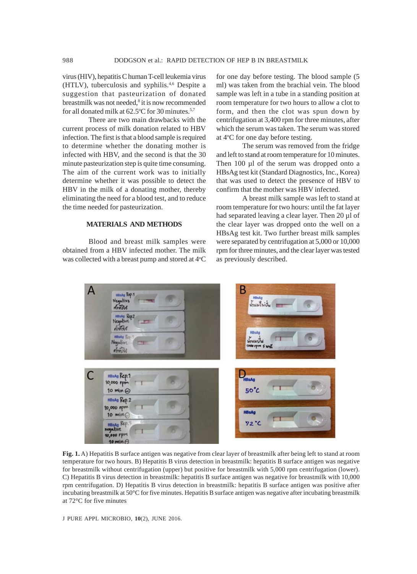virus (HIV), hepatitis C human T-cell leukemia virus (HTLV), tuberculosis and syphilis.4,6 Despite a suggestion that pasteurization of donated breastmilk was not needed,<sup>8</sup> it is now recommended for all donated milk at  $62.5^{\circ}$ C for 30 minutes.<sup>5,7</sup>

There are two main drawbacks with the current process of milk donation related to HBV infection. The first is that a blood sample is required to determine whether the donating mother is infected with HBV, and the second is that the 30 minute pasteurization step is quite time consuming. The aim of the current work was to initially determine whether it was possible to detect the HBV in the milk of a donating mother, thereby eliminating the need for a blood test, and to reduce the time needed for pasteurization.

### **MATERIALS AND METHODS**

Blood and breast milk samples were obtained from a HBV infected mother. The milk was collected with a breast pump and stored at 4°C

for one day before testing. The blood sample (5 ml) was taken from the brachial vein. The blood sample was left in a tube in a standing position at room temperature for two hours to allow a clot to form, and then the clot was spun down by centrifugation at 3,400 rpm for three minutes, after which the serum was taken. The serum was stored at 4°C for one day before testing.

The serum was removed from the fridge and left to stand at room temperature for 10 minutes. Then 100 µl of the serum was dropped onto a HBsAg test kit (Standard Diagnostics, Inc., Korea) that was used to detect the presence of HBV to confirm that the mother was HBV infected.

A breast milk sample was left to stand at room temperature for two hours: until the fat layer had separated leaving a clear layer. Then 20 µl of the clear layer was dropped onto the well on a HBsAg test kit. Two further breast milk samples were separated by centrifugation at 5,000 or 10,000 rpm for three minutes, and the clear layer was tested as previously described.



**Fig. 1.** A) Hepatitis B surface antigen was negative from clear layer of breastmilk after being left to stand at room temperature for two hours. B) Hepatitis B virus detection in breastmilk: hepatitis B surface antigen was negative for breastmilk without centrifugation (upper) but positive for breastmilk with 5,000 rpm centrifugation (lower). C) Hepatitis B virus detection in breastmilk: hepatitis B surface antigen was negative for breastmilk with 10,000 rpm centrifugation. D) Hepatitis B virus detection in breastmilk: hepatitis B surface antigen was positive after incubating breastmilk at 50°C for five minutes. Hepatitis B surface antigen was negative after incubating breastmilk at 72°C for five minutes

J PURE APPL MICROBIO*,* **10**(2), JUNE 2016.